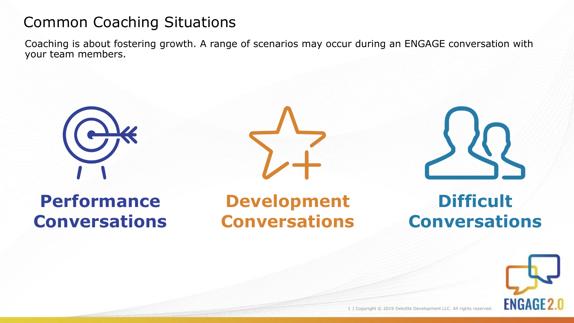## Common Coaching Situations

Coaching is about fostering growth. A range of scenarios may occur during an ENGAGE conversation with your team members.







# **Performance Conversations**

# **Development Conversations**

# **Difficult Conversations**

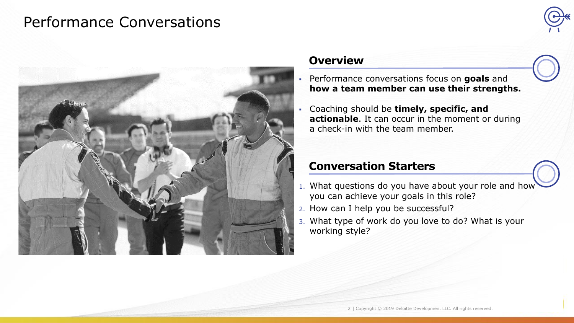### Performance Conversations





#### **Overview**

- Performance conversations focus on **goals** and **how a team member can use their strengths.**
- Coaching should be **timely, specific, and actionable**. It can occur in the moment or during a check-in with the team member.

### **Conversation Starters**

- 1. What questions do you have about your role and how you can achieve your goals in this role?
- 2. How can I help you be successful?
- 3. What type of work do you love to do? What is your working style?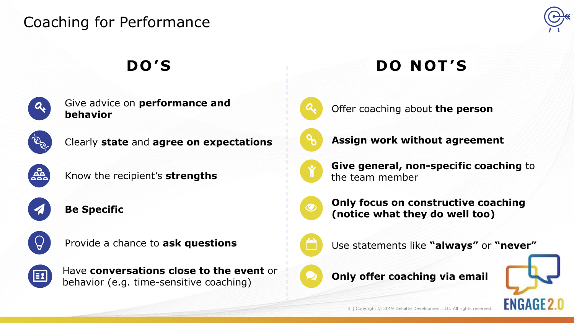## Coaching for Performance





Give advice on **performance and**  behavior on performance and **the set of the set of the person** behavior



Clearly **state** and **agree on expectations** 



Know the recipient's **strengths**



**Be Specific**



Provide a chance to **ask questions**



Have **conversations close to the event** or behavior (e.g. time-sensitive coaching)

# **DO'S**  $\longrightarrow$  **DO NOT'S**





**Assign work without agreement**



**Give general, non-specific coaching** to the team member



**Only focus on constructive coaching (notice what they do well too)**



Use statements like **"always"** or **"never"**





3 | Copyright © 2019 Deloitte Development LLC. All rights reserved.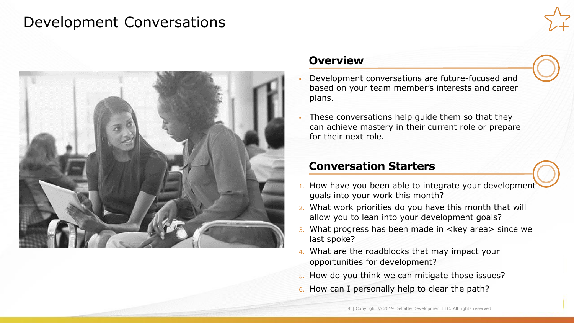### Development Conversations





### **Overview**

- Development conversations are future-focused and based on your team member's interests and career plans.
- These conversations help guide them so that they can achieve mastery in their current role or prepare for their next role.

### **Conversation Starters**

- 1. How have you been able to integrate your development goals into your work this month?
- 2. What work priorities do you have this month that will allow you to lean into your development goals?
- 3. What progress has been made in <key area> since we last spoke?
- 4. What are the roadblocks that may impact your opportunities for development?
- 5. How do you think we can mitigate those issues?
- 6. How can I personally help to clear the path?